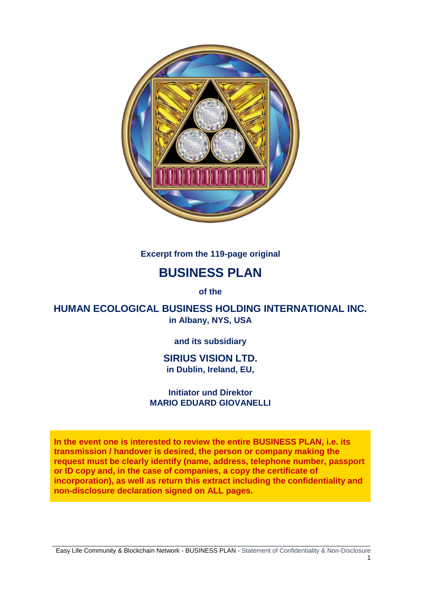

**Excerpt from the 119-page original**

# **BUSINESS PLAN**

**of the**

**HUMAN ECOLOGICAL BUSINESS HOLDING INTERNATIONAL INC. in Albany, NYS, USA**

**and its subsidiary**

## **SIRIUS VISION LTD. in Dublin, Ireland, EU,**

**Initiator und Direktor MARIO EDUARD GIOVANELLI**

**In the event one is interested to review the entire BUSINESS PLAN, i.e. its transmission / handover is desired, the person or company making the request must be clearly identify (name, address, telephone number, passport or ID copy and, in the case of companies, a copy the certificate of incorporation), as well as return this extract including the confidentiality and non-disclosure declaration signed on ALL pages.**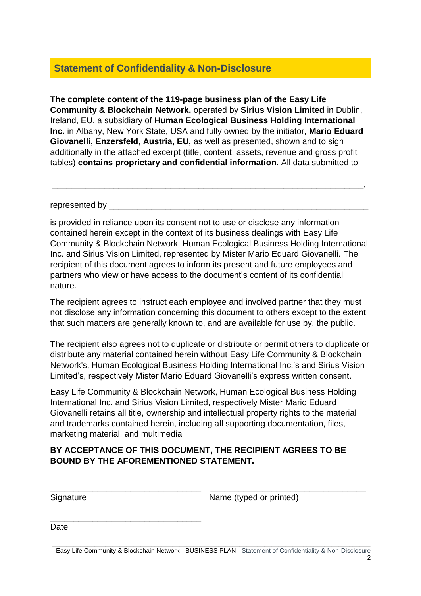# **Statement of Confidentiality & Non-Disclosure**

**The complete content of the 119-page business plan of the Easy Life Community & Blockchain Network,** operated by **Sirius Vision Limited** in Dublin, Ireland, EU, a subsidiary of **Human Ecological Business Holding International Inc.** in Albany, New York State, USA and fully owned by the initiator, **Mario Eduard Giovanelli, Enzersfeld, Austria, EU,** as well as presented, shown and to sign additionally in the attached excerpt (title, content, assets, revenue and gross profit tables) **contains proprietary and confidential information.** All data submitted to

\_\_\_\_\_\_\_\_\_\_\_\_\_\_\_\_\_\_\_\_\_\_\_\_\_\_\_\_\_\_\_\_\_\_\_\_\_\_\_\_\_\_\_\_\_\_\_\_\_\_\_\_\_\_\_\_\_\_\_\_\_\_\_\_\_\_,

represented by

is provided in reliance upon its consent not to use or disclose any information contained herein except in the context of its business dealings with Easy Life Community & Blockchain Network, Human Ecological Business Holding International Inc. and Sirius Vision Limited, represented by Mister Mario Eduard Giovanelli. The recipient of this document agrees to inform its present and future employees and partners who view or have access to the document's content of its confidential nature.

The recipient agrees to instruct each employee and involved partner that they must not disclose any information concerning this document to others except to the extent that such matters are generally known to, and are available for use by, the public.

The recipient also agrees not to duplicate or distribute or permit others to duplicate or distribute any material contained herein without Easy Life Community & Blockchain Network's, Human Ecological Business Holding International Inc.'s and Sirius Vision Limited's, respectively Mister Mario Eduard Giovanelli's express written consent.

Easy Life Community & Blockchain Network, Human Ecological Business Holding International Inc. and Sirius Vision Limited, respectively Mister Mario Eduard Giovanelli retains all title, ownership and intellectual property rights to the material and trademarks contained herein, including all supporting documentation, files, marketing material, and multimedia

## **BY ACCEPTANCE OF THIS DOCUMENT, THE RECIPIENT AGREES TO BE BOUND BY THE AFOREMENTIONED STATEMENT.**

 $\overline{\phantom{a}}$  , and the contribution of the contribution of  $\overline{\phantom{a}}$  , and  $\overline{\phantom{a}}$  , and  $\overline{\phantom{a}}$  , and  $\overline{\phantom{a}}$  , and  $\overline{\phantom{a}}$  , and  $\overline{\phantom{a}}$  , and  $\overline{\phantom{a}}$  , and  $\overline{\phantom{a}}$  , and  $\overline{\phantom{a}}$  , and

\_\_\_\_\_\_\_\_\_\_\_\_\_\_\_\_\_\_\_\_\_\_\_\_\_\_\_\_\_\_\_\_

Signature Name (typed or printed)

Date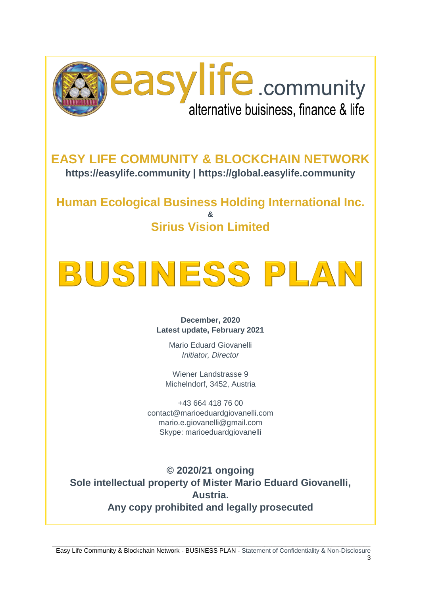

**EASY LIFE COMMUNITY & BLOCKCHAIN NETWORK https://easylife.community | https://global.easylife.community**

**Human Ecological Business Holding International Inc. & Sirius Vision Limited**

# BUSINESS PLAI

#### **December, 2020 Latest update, February 2021**

Mario Eduard Giovanelli *Initiator, Director*

Wiener Landstrasse 9 Michelndorf, 3452, Austria

+43 664 418 76 00 contact@marioeduardgiovanelli.com mario.e.giovanelli@gmail.com Skype: marioeduardgiovanelli

**© 2020/21 ongoing Sole intellectual property of Mister Mario Eduard Giovanelli, Austria. Any copy prohibited and legally prosecuted**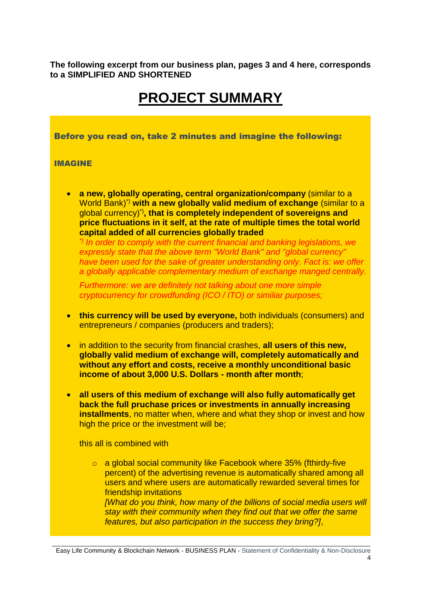**The following excerpt from our business plan, pages 3 and 4 here, corresponds to a SIMPLIFIED AND SHORTENED** 

# **PROJECT SUMMARY**

Before you read on, take 2 minutes and imagine the following:

#### IMAGINE

• **a new, globally operating, central organization/company** (similar to a World Bank)\*) **with a new globally valid medium of exchange** (similar to a global currency) \*)**, that is completely independent of sovereigns and price fluctuations in it self, at the rate of multiple times the total world capital added of all currencies globally traded**

*\*) In order to comply with the current financial and banking legislations, we expressly state that the above term "World Bank" and "global currency" have been used for the sake of greater understanding only. Fact is: we offer a globally applicable complementary medium of exchange manged centrally.*

*Furthermore: we are definitely not talking about one more simple cryptocurrency for crowdfunding (ICO / ITO) or similiar purposes;*

- **this currency will be used by everyone,** both individuals (consumers) and entrepreneurs / companies (producers and traders);
- in addition to the security from financial crashes, **all users of this new, globally valid medium of exchange will, completely automatically and without any effort and costs, receive a monthly unconditional basic income of about 3,000 U.S. Dollars - month after month**;
- **all users of this medium of exchange will also fully automatically get back the full pruchase prices or investments in annually increasing installments**, no matter when, where and what they shop or invest and how high the price or the investment will be;

this all is combined with

o a global social community like Facebook where 35% (fthirdy-five percent) of the advertising revenue is automatically shared among all users and where users are automatically rewarded several times for friendship invitations *[What do you think, how many of the billions of social media users will stay with their community when they find out that we offer the same features, but also participation in the success they bring?]*,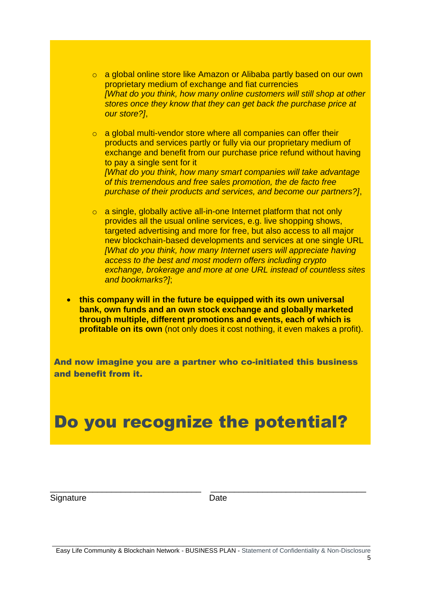o a global online store like Amazon or Alibaba partly based on our own proprietary medium of exchange and fiat currencies *[What do you think, how many online customers will still shop at other stores once they know that they can get back the purchase price at our store?]*,

 $\circ$  a global multi-vendor store where all companies can offer their products and services partly or fully via our proprietary medium of exchange and benefit from our purchase price refund without having to pay a single sent for it *[What do you think, how many smart companies will take advantage of this tremendous and free sales promotion, the de facto free purchase of their products and services, and become our partners?]*,

- o a single, globally active all-in-one Internet platform that not only provides all the usual online services, e.g. live shopping shows, targeted advertising and more for free, but also access to all major new blockchain-based developments and services at one single URL *[What do you think, how many Internet users will appreciate having access to the best and most modern offers including crypto exchange, brokerage and more at one URL instead of countless sites and bookmarks?]*;
- **this company will in the future be equipped with its own universal bank, own funds and an own stock exchange and globally marketed through multiple, different promotions and events, each of which is profitable on its own** (not only does it cost nothing, it even makes a profit).

And now imagine you are a partner who co-initiated this business and benefit from it.

# Do you recognize the potential?

Signature Date

\_\_\_\_\_\_\_\_\_\_\_\_\_\_\_\_\_\_\_\_\_\_\_\_\_\_\_\_\_\_\_\_ \_\_\_\_\_\_\_\_\_\_\_\_\_\_\_\_\_\_\_\_\_\_\_\_\_\_\_\_\_\_\_\_\_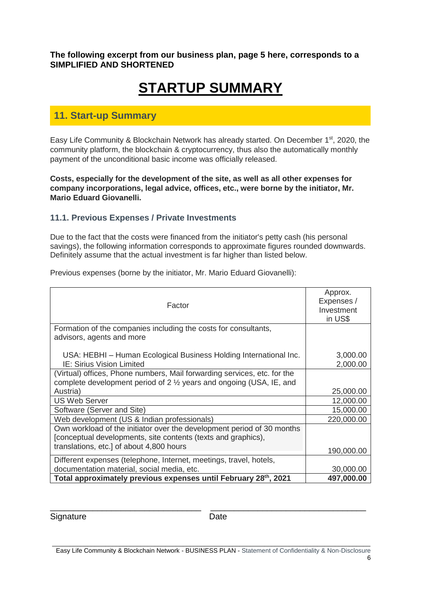**The following excerpt from our business plan, page 5 here, corresponds to a SIMPLIFIED AND SHORTENED** 

# **STARTUP SUMMARY**

# **11. Start-up Summary**

Easy Life Community & Blockchain Network has already started. On December 1<sup>st</sup>, 2020, the community platform, the blockchain & cryptocurrency, thus also the automatically monthly payment of the unconditional basic income was officially released.

**Costs, especially for the development of the site, as well as all other expenses for company incorporations, legal advice, offices, etc., were borne by the initiator, Mr. Mario Eduard Giovanelli.**

## **11.1. Previous Expenses / Private Investments**

Due to the fact that the costs were financed from the initiator's petty cash (his personal savings), the following information corresponds to approximate figures rounded downwards. Definitely assume that the actual investment is far higher than listed below.

| Factor                                                                                                                                           | Approx.<br>Expenses /<br>Investment<br>in US\$ |  |
|--------------------------------------------------------------------------------------------------------------------------------------------------|------------------------------------------------|--|
| Formation of the companies including the costs for consultants,<br>advisors, agents and more                                                     |                                                |  |
| USA: HEBHI – Human Ecological Business Holding International Inc.<br><b>IE: Sirius Vision Limited</b>                                            | 3,000.00<br>2,000.00                           |  |
| (Virtual) offices, Phone numbers, Mail forwarding services, etc. for the<br>complete development period of 2 1/2 years and ongoing (USA, IE, and |                                                |  |
| Austria)                                                                                                                                         | 25,000.00                                      |  |
| <b>US Web Server</b>                                                                                                                             | 12,000.00                                      |  |
| Software (Server and Site)                                                                                                                       | 15,000.00                                      |  |
| Web development (US & Indian professionals)                                                                                                      | 220,000.00                                     |  |
| Own workload of the initiator over the development period of 30 months<br>[conceptual developments, site contents (texts and graphics),          |                                                |  |
| translations, etc.] of about 4,800 hours                                                                                                         | 190,000.00                                     |  |
| Different expenses (telephone, Internet, meetings, travel, hotels,                                                                               |                                                |  |
| documentation material, social media, etc.                                                                                                       | 30,000.00                                      |  |
| Total approximately previous expenses until February 28th, 2021                                                                                  | 497,000.00                                     |  |

Previous expenses (borne by the initiator, Mr. Mario Eduard Giovanelli):

Signature Date

\_\_\_\_\_\_\_\_\_\_\_\_\_\_\_\_\_\_\_\_\_\_\_\_\_\_\_\_\_\_\_\_ \_\_\_\_\_\_\_\_\_\_\_\_\_\_\_\_\_\_\_\_\_\_\_\_\_\_\_\_\_\_\_\_\_

\_\_\_\_\_\_\_\_\_\_\_\_\_\_\_\_\_\_\_\_\_\_\_\_\_\_\_\_\_\_\_\_\_\_\_\_\_\_\_\_\_\_\_\_\_\_\_\_\_\_\_\_\_\_\_\_\_\_\_\_\_\_\_\_\_\_\_\_\_\_\_\_\_\_\_\_\_\_\_\_\_\_\_\_\_\_\_\_\_\_ Easy Life Community & Blockchain Network - BUSINESS PLAN - Statement of Confidentiality & Non-Disclosure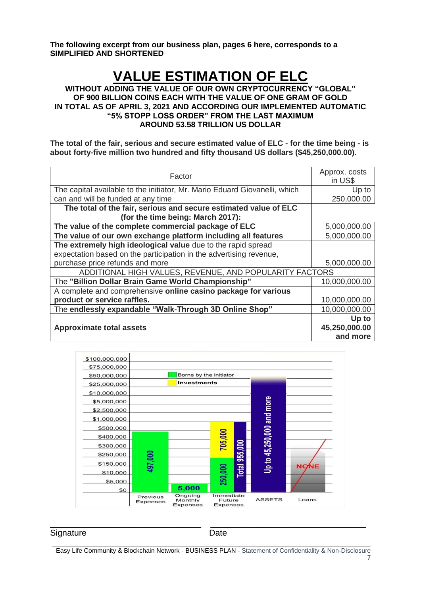**The following excerpt from our business plan, pages 6 here, corresponds to a SIMPLIFIED AND SHORTENED** 

# **VALUE ESTIMATION OF ELC**

**WITHOUT ADDING THE VALUE OF OUR OWN CRYPTOCURRENCY "GLOBAL" OF 900 BILLION COINS EACH WITH THE VALUE OF ONE GRAM OF GOLD IN TOTAL AS OF APRIL 3, 2021 AND ACCORDING OUR IMPLEMENTED AUTOMATIC "5% STOPP LOSS ORDER" FROM THE LAST MAXIMUM AROUND 53.58 TRILLION US DOLLAR**

**The total of the fair, serious and secure estimated value of ELC - for the time being - is about forty-five million two hundred and fifty thousand US dollars (\$45,250,000.00).**

| Factor                                                                     | Approx. costs<br>in US\$ |
|----------------------------------------------------------------------------|--------------------------|
| The capital available to the initiator, Mr. Mario Eduard Giovanelli, which | Up to                    |
| can and will be funded at any time                                         | 250,000.00               |
| The total of the fair, serious and secure estimated value of ELC           |                          |
| (for the time being: March 2017):                                          |                          |
| The value of the complete commercial package of ELC                        | 5,000,000.00             |
| The value of our own exchange platform including all features              | 5,000,000.00             |
| The extremely high ideological value due to the rapid spread               |                          |
| expectation based on the participation in the advertising revenue,         |                          |
| purchase price refunds and more                                            | 5,000,000.00             |
| ADDITIONAL HIGH VALUES, REVENUE, AND POPULARITY FACTORS                    |                          |
| The "Billion Dollar Brain Game World Championship"                         | 10,000,000.00            |
| A complete and comprehensive online casino package for various             |                          |
| product or service raffles.                                                | 10,000,000.00            |
| The endlessly expandable "Walk-Through 3D Online Shop"                     | 10,000,000.00            |
|                                                                            | Up to                    |
| <b>Approximate total assets</b>                                            | 45,250,000.00            |
|                                                                            | and more                 |



#### Signature Date

\_\_\_\_\_\_\_\_\_\_\_\_\_\_\_\_\_\_\_\_\_\_\_\_\_\_\_\_\_\_\_\_\_\_\_\_\_\_\_\_\_\_\_\_\_\_\_\_\_\_\_\_\_\_\_\_\_\_\_\_\_\_\_\_\_\_\_\_\_\_\_\_\_\_\_\_\_\_\_\_\_\_\_\_\_\_\_\_\_\_ Easy Life Community & Blockchain Network - BUSINESS PLAN - Statement of Confidentiality & Non-Disclosure

 $\overline{\phantom{a}}$  , and the contribution of the contribution of  $\overline{\phantom{a}}$  , and  $\overline{\phantom{a}}$  , and  $\overline{\phantom{a}}$  , and  $\overline{\phantom{a}}$  , and  $\overline{\phantom{a}}$  , and  $\overline{\phantom{a}}$  , and  $\overline{\phantom{a}}$  , and  $\overline{\phantom{a}}$  , and  $\overline{\phantom{a}}$  , and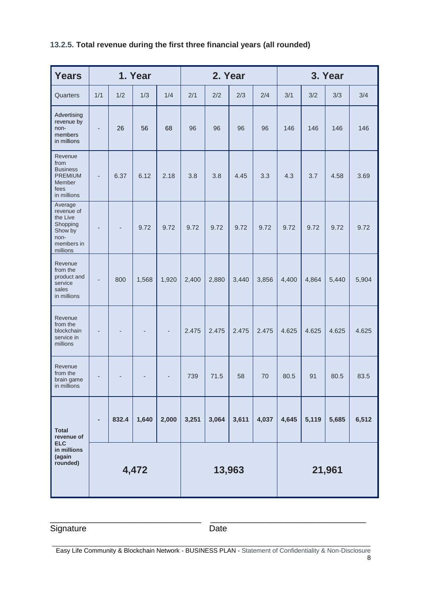# **13.2.5. Total revenue during the first three financial years (all rounded)**

| <b>Years</b>                                                                               | 1. Year                  |       |       | 2. Year |        |       |       | 3. Year |       |       |       |       |
|--------------------------------------------------------------------------------------------|--------------------------|-------|-------|---------|--------|-------|-------|---------|-------|-------|-------|-------|
| Quarters                                                                                   | 1/1                      | 1/2   | 1/3   | 1/4     | 2/1    | 2/2   | 2/3   | 2/4     | 3/1   | 3/2   | 3/3   | 3/4   |
| Advertising<br>revenue by<br>non-<br>members<br>in millions                                | $\overline{\phantom{m}}$ | 26    | 56    | 68      | 96     | 96    | 96    | 96      | 146   | 146   | 146   | 146   |
| Revenue<br>from<br><b>Business</b><br><b>PREMIUM</b><br>Member<br>fees<br>in millions      | $\overline{\phantom{m}}$ | 6.37  | 6.12  | 2.18    | 3.8    | 3.8   | 4.45  | 3.3     | 4.3   | 3.7   | 4.58  | 3.69  |
| Average<br>revenue of<br>the Live<br>Shopping<br>Show by<br>non-<br>members in<br>millions | -                        |       | 9.72  | 9.72    | 9.72   | 9.72  | 9.72  | 9.72    | 9.72  | 9.72  | 9.72  | 9.72  |
| Revenue<br>from the<br>product and<br>service<br>sales<br>in millions                      | $\overline{a}$           | 800   | 1,568 | 1,920   | 2,400  | 2,880 | 3,440 | 3,856   | 4,400 | 4,864 | 5,440 | 5,904 |
| Revenue<br>from the<br>blockchain<br>service in<br>millions                                | ÷,                       |       |       |         | 2.475  | 2.475 | 2.475 | 2.475   | 4.625 | 4.625 | 4.625 | 4.625 |
| Revenue<br>from the<br>brain game<br>in millions                                           |                          |       |       |         | 739    | 71.5  | 58    | 70      | 80.5  | 91    | 80.5  | 83.5  |
| <b>Total</b><br>revenue of<br><b>ELC</b><br>in millions<br>(again<br>rounded)              |                          | 832.4 | 1,640 | 2,000   | 3,251  | 3,064 | 3,611 | 4,037   | 4,645 | 5,119 | 5,685 | 6,512 |
|                                                                                            | 4,472                    |       |       |         | 13,963 |       |       | 21,961  |       |       |       |       |

Signature Date

\_\_\_\_\_\_\_\_\_\_\_\_\_\_\_\_\_\_\_\_\_\_\_\_\_\_\_\_\_\_\_\_\_\_\_\_\_\_\_\_\_\_\_\_\_\_\_\_\_\_\_\_\_\_\_\_\_\_\_\_\_\_\_\_\_\_\_\_\_\_\_\_\_\_\_\_\_\_\_\_\_\_\_\_\_\_\_\_\_\_ Easy Life Community & Blockchain Network - BUSINESS PLAN - Statement of Confidentiality & Non-Disclosure

\_\_\_\_\_\_\_\_\_\_\_\_\_\_\_\_\_\_\_\_\_\_\_\_\_\_\_\_\_\_\_\_ \_\_\_\_\_\_\_\_\_\_\_\_\_\_\_\_\_\_\_\_\_\_\_\_\_\_\_\_\_\_\_\_\_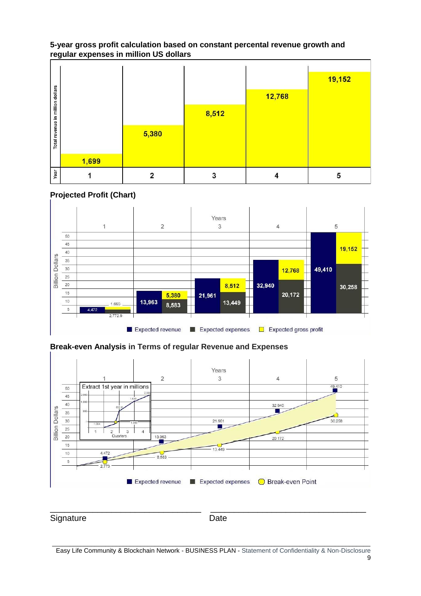### **5-year gross profit calculation based on constant percental revenue growth and regular expenses in million US dollars**

|                                  |       |       |       |        | 19,152 |
|----------------------------------|-------|-------|-------|--------|--------|
| Total revenue in million dollars |       |       |       | 12,768 |        |
|                                  |       |       | 8,512 |        |        |
|                                  |       |       |       |        |        |
|                                  |       | 5,380 |       |        |        |
|                                  |       |       |       |        |        |
|                                  | 1,699 |       |       |        |        |
| Year                             |       |       | 3     |        | 5      |

## **Projected Profit (Chart)**



## **Break-even Analysis in Terms of regular Revenue and Expenses**



\_\_\_\_\_\_\_\_\_\_\_\_\_\_\_\_\_\_\_\_\_\_\_\_\_\_\_\_\_\_\_\_ \_\_\_\_\_\_\_\_\_\_\_\_\_\_\_\_\_\_\_\_\_\_\_\_\_\_\_\_\_\_\_\_\_ Signature Date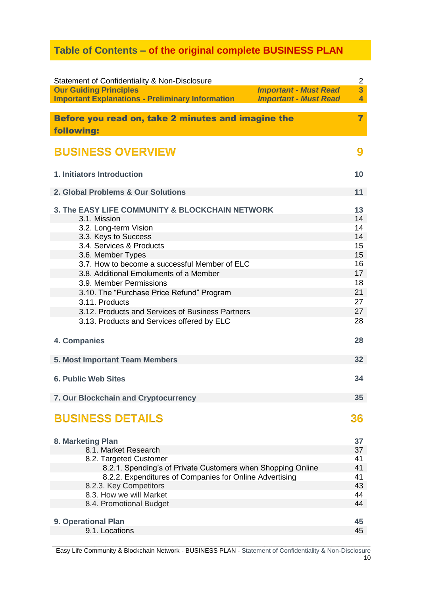# **Table of Contents – of the original complete BUSINESS PLAN**

| Statement of Confidentiality & Non-Disclosure                    | $\overline{2}$                                 |
|------------------------------------------------------------------|------------------------------------------------|
| <b>Our Guiding Principles</b>                                    | $\overline{3}$<br><b>Important - Must Read</b> |
| <b>Important Explanations - Preliminary Information</b>          | <b>Important - Must Read</b><br>$\overline{4}$ |
| Before you read on, take 2 minutes and imagine the<br>following: | $\overline{\mathbf{z}}$                        |
| <b>BUSINESS OVERVIEW</b>                                         | 9                                              |
| <b>1. Initiators Introduction</b>                                | 10                                             |
| 2. Global Problems & Our Solutions                               | 11                                             |
| 3. The EASY LIFE COMMUNITY & BLOCKCHAIN NETWORK                  | 13                                             |
| 3.1. Mission                                                     | 14                                             |
| 3.2. Long-term Vision                                            | 14                                             |
| 3.3. Keys to Success                                             | 14                                             |
| 3.4. Services & Products                                         | 15                                             |
| 3.6. Member Types                                                | 15                                             |
| 3.7. How to become a successful Member of ELC                    | 16                                             |
| 3.8. Additional Emoluments of a Member                           | 17                                             |
| 3.9. Member Permissions                                          | 18                                             |
| 3.10. The "Purchase Price Refund" Program                        | 21                                             |
| 3.11. Products                                                   | 27                                             |
| 3.12. Products and Services of Business Partners                 | 27                                             |
| 3.13. Products and Services offered by ELC                       | 28                                             |
| 4. Companies                                                     | 28                                             |
| 5. Most Important Team Members                                   | 32                                             |
| <b>6. Public Web Sites</b>                                       | 34                                             |
| 7. Our Blockchain and Cryptocurrency                             | 35                                             |
| <b>BUSINESS DETAILS</b>                                          | 36                                             |
| 8. Marketing Plan                                                | 37                                             |
| 8.1. Market Research                                             | 37                                             |
| 8.2. Targeted Customer                                           | 41                                             |
| 8.2.1. Spending's of Private Customers when Shopping Online      | 41                                             |
| 8.2.2. Expenditures of Companies for Online Advertising          | 41                                             |
| 8.2.3. Key Competitors                                           | 43                                             |
| 8.3. How we will Market                                          | 44                                             |
| 8.4. Promotional Budget                                          | 44                                             |
|                                                                  |                                                |
| 9. Operational Plan                                              | 45                                             |
| 9.1. Locations                                                   | 45                                             |